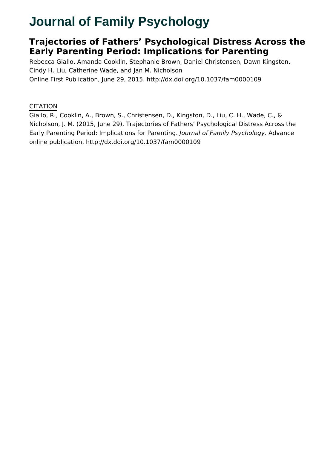# **Journal of Family Psychology**

## **Trajectories of Fathers' Psychological Distress Across the Early Parenting Period: Implications for Parenting**

Rebecca Giallo, Amanda Cooklin, Stephanie Brown, Daniel Christensen, Dawn Kingston, Cindy H. Liu, Catherine Wade, and Jan M. Nicholson Online First Publication, June 29, 2015. http://dx.doi.org/10.1037/fam0000109

### **CITATION**

Giallo, R., Cooklin, A., Brown, S., Christensen, D., Kingston, D., Liu, C. H., Wade, C., & Nicholson, J. M. (2015, June 29). Trajectories of Fathers' Psychological Distress Across the Early Parenting Period: Implications for Parenting. Journal of Family Psychology. Advance online publication. http://dx.doi.org/10.1037/fam0000109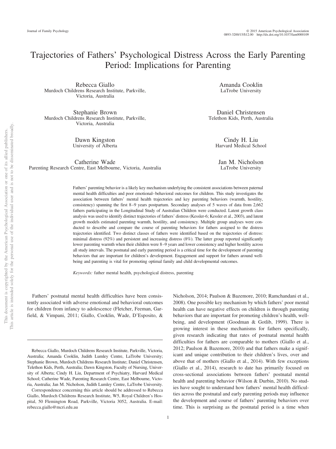### Trajectories of Fathers' Psychological Distress Across the Early Parenting Period: Implications for Parenting

Rebecca Giallo Murdoch Childrens Research Institute, Parkville, Victoria, Australia

Stephanie Brown Murdoch Childrens Research Institute, Parkville, Victoria, Australia

> Dawn Kingston University of Alberta

Catherine Wade Parenting Research Centre, East Melbourne, Victoria, Australia Amanda Cooklin LaTrobe University

Daniel Christensen Telethon Kids, Perth, Australia

> Cindy H. Liu Harvard Medical School

Jan M. Nicholson LaTrobe University

Fathers' parenting behavior is a likely key mechanism underlying the consistent associations between paternal mental health difficulties and poor emotional– behavioral outcomes for children. This study investigates the association between fathers' mental health trajectories and key parenting behaviors (warmth, hostility, consistency) spanning the first 8 –9 years postpartum. Secondary analyses of 5 waves of data from 2,662 fathers participating in the Longitudinal Study of Australian Children were conducted. Latent growth class analysis was used to identify distinct trajectories of fathers' distress (Kessler-6; Kessler et al., 2003), and latent growth models estimated parenting warmth, hostility, and consistency. Multiple group analyses were conducted to describe and compare the course of parenting behaviors for fathers assigned to the distress trajectories identified. Two distinct classes of fathers were identified based on the trajectories of distress: minimal distress (92%) and persistent and increasing distress (8%). The latter group reported significantly lower parenting warmth when their children were 8 –9 years and lower consistency and higher hostility across all study intervals. The postnatal and early parenting period is a critical time for the development of parenting behaviors that are important for children's development. Engagement and support for fathers around wellbeing and parenting is vital for promoting optimal family and child developmental outcomes.

*Keywords:* father mental health, psychological distress, parenting

Fathers' postnatal mental health difficulties have been consistently associated with adverse emotional and behavioral outcomes for children from infancy to adolescence (Fletcher, Feeman, Garfield, & Vimpani, 2011; Giallo, Cooklin, Wade, D'Esposito, &

Nicholson, 2014; Paulson & Bazemore, 2010; Ramchandani et al., 2008). One possible key mechanism by which fathers' poor mental health can have negative effects on children is through parenting behaviors that are important for promoting children's health, wellbeing, and development (Goodman & Gotlib, 1999). There is growing interest in these mechanisms for fathers specifically, given research indicating that rates of postnatal mental health difficulties for fathers are comparable to mothers (Giallo et al., 2012; Paulson & Bazemore, 2010) and that fathers make a significant and unique contribution to their children's lives, over and above that of mothers (Giallo et al., 2014). With few exceptions (Giallo et al., 2014), research to date has primarily focused on cross-sectional associations between fathers' postnatal mental health and parenting behavior (Wilson & Durbin, 2010). No studies have sought to understand how fathers' mental health difficulties across the postnatal and early parenting periods may influence the development and course of fathers' parenting behaviors over time. This is surprising as the postnatal period is a time when

Rebecca Giallo, Murdoch Childrens Research Institute, Parkville, Victoria, Australia; Amanda Cooklin, Judith Lumley Centre, LaTrobe University; Stephanie Brown, Murdoch Childrens Research Institute; Daniel Christensen, Telethon Kids, Perth, Australia; Dawn Kingston, Faculty of Nursing, University of Alberta; Cindy H. Liu, Department of Psychiatry, Harvard Medical School; Catherine Wade, Parenting Research Centre, East Melbourne, Victoria, Australia; Jan M. Nicholson, Judith Lumley Centre, LaTrobe University.

Correspondence concerning this article should be addressed to Rebecca Giallo, Murdoch Childrens Research Institute, W5, Royal Children's Hospital, 50 Flemington Road, Parkville, Victoria 3052, Australia. E-mail: rebecca.giallo@mcri.edu.au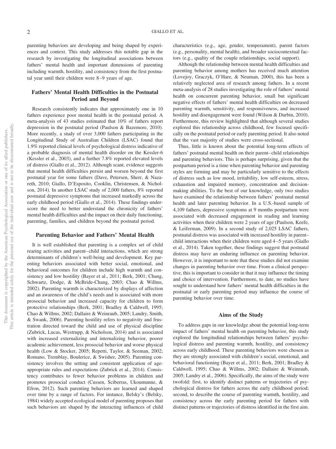parenting behaviors are developing and being shaped by experiences and context. This study addresses this notable gap in the research by investigating the longitudinal associations between fathers' mental health and important dimensions of parenting including warmth, hostility, and consistency from the first postnatal year until their children were 8–9 years of age.

#### **Fathers' Mental Health Difficulties in the Postnatal Period and Beyond**

Research consistently indicates that approximately one in 10 fathers experience poor mental health in the postnatal period. A meta-analysis of 43 studies estimated that 10% of fathers report depression in the postnatal period (Paulson & Bazemore, 2010). More recently, a study of over 3,000 fathers participating in the Longitudinal Study of Australian Children (LSAC) found that 1.9% reported clinical levels of psychological distress indicative of a probable diagnosis of mental health disorder on the Kessler-6 (Kessler et al., 2003), and a further 7.8% reported elevated levels of distress (Giallo et al., 2012). Although scant, evidence suggests that mental health difficulties persist and worsen beyond the first postnatal year for some fathers (Dave, Petersen, Sherr, & Nazareth, 2010; Giallo, D'Esposito, Cooklin, Christensen, & Nicholson, 2014). In another LSAC study of 2,000 fathers, 8% reported postnatal depressive symptoms that increased markedly across the early childhood period (Giallo et al., 2014). These findings underscore the need to better understand the chronicity of fathers' mental health difficulties and the impact on their daily functioning, parenting, families, and children beyond the postnatal period.

#### **Parenting Behavior and Fathers' Mental Health**

It is well established that parenting is a complex set of child rearing activities and parent– child interactions, which are strong determinants of children's well-being and development. Key parenting behaviors associated with better social, emotional, and behavioral outcomes for children include high warmth and consistency and low hostility (Bayer et al., 2011; Berk, 2001; Chang, Schwartz, Dodge, & McBride-Chang, 2003; Chao & Willms, 2002). Parenting warmth is characterized by displays of affection and an awareness of the child's needs and is associated with more prosocial behavior and increased capacity for children to form protective relationships (Berk, 2001; Bradley & Caldwell, 1995; Chao & Willms, 2002; Dallaire & Weinraub, 2005; Landry, Smith, & Swank, 2006). Parenting hostility refers to negativity and frustration directed toward the child and use of physical discipline (Zubrick, Lucas, Westrupp, & Nicholson, 2014) and is associated with increased externalizing and internalizing behavior, poorer academic achievement, less prosocial behavior and worse physical health (Low & Stocker, 2005; Repetti, Taylor, & Seeman, 2002; Romano, Tremblay, Boulerice, & Swisher, 2005). Parenting consistency involves the setting and consistent application of ageappropriate rules and expectations (Zubrick et al., 2014). Consistency contributes to fewer behavior problems in children and promotes prosocial conduct (Cussen, Sciberras, Ukoumunne, & Efron, 2012). Such parenting behaviors are learned and shaped over time by a range of factors. For instance, Belsky's (Belsky, 1984) widely accepted ecological model of parenting proposes that such behaviors are shaped by the interacting influences of child

characteristics (e.g., age, gender, temperament), parent factors (e.g., personality, mental health), and broader sociocontextual factors (e.g., quality of the couple relationships, social support).

Although the relationship between mental health difficulties and parenting behavior among mothers has received much attention (Lovejoy, Graczyk, O'Hare, & Neuman, 2000), this has been a relatively neglected area of research among fathers. In a recent meta-analysis of 28 studies investigating the role of fathers' mental health on concurrent parenting behavior, small but significant negative effects of fathers' mental health difficulties on decreased parenting warmth, sensitivity, and responsiveness, and increased hostility and disengagement were found (Wilson & Durbin, 2010). Furthermore, this review highlighted that although several studies explored this relationship across childhood, few focused specifically on the postnatal period or early parenting period. It also noted that the vast majority of studies were cross-sectional.

Thus, little is known about the potential long-term effects of fathers' postnatal mental health on their parent– child relationships and parenting behaviors. This is perhaps surprising, given that the postpartum period is a time when parenting behavior and parenting styles are forming and may be particularly sensitive to the effects of distress such as low mood, irritability, low self-esteem, stress, exhaustion and impaired memory, concentration and decisionmaking abilities. To the best of our knowledge, only two studies have examined the relationship between fathers' postnatal mental health and later parenting behavior. In a U.S.-based sample of 4,109 fathers, depressive symptoms at 9 months postpartum were associated with decreased engagement in reading and learning activities when their children were 2 years of age (Paulson, Keefe, & Leiferman, 2009). In a second study of 2,025 LSAC fathers, postnatal distress was associated with increased hostility in parent– child interactions when their children were aged 4 –5 years (Giallo et al., 2014). Taken together, these findings suggest that postnatal distress may have an enduring influence on parenting behavior. However, it is important to note that these studies did not examine changes in parenting behavior over time. From a clinical perspective, this is important to consider in that it may influence the timing and choice of intervention. Furthermore, to date, no studies have sought to understand how fathers' mental health difficulties in the postnatal or early parenting period may influence the course of parenting behavior over time.

#### **Aims of the Study**

To address gaps in our knowledge about the potential long-term impact of fathers' mental health on parenting behavior, this study explored the longitudinal relationships between fathers' psychological distress and parenting warmth, hostility, and consistency across early childhood. These parenting behaviors were chosen as they are strongly associated with children's social, emotional, and behavioral functioning (Bayer et al., 2011; Berk, 2001; Bradley & Caldwell, 1995; Chao & Willms, 2002; Dallaire & Weinraub, 2005; Landry et al., 2006). Specifically, the aims of the study were twofold: first, to identify distinct patterns or trajectories of psychological distress for fathers across the early childhood period; second, to describe the course of parenting warmth, hostility, and consistency across the early parenting period for fathers with distinct patterns or trajectories of distress identified in the first aim.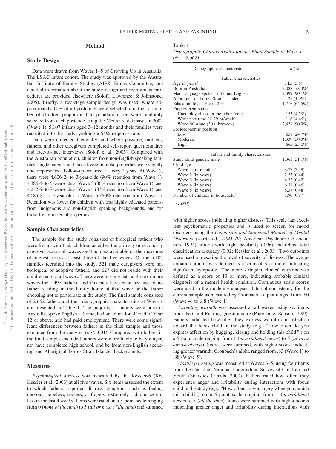#### **Method**

#### **Study Design**

Data were drawn from Waves 1–5 of Growing Up in Australia: The LSAC infant cohort. The study was approved by the Australian Institute of Family Studies (AIFS) Ethics Committee, and detailed information about the study design and recruitment procedures are provided elsewhere (Soloff, Lawrence, & Johnstone, 2005). Briefly, a two-stage sample design was used, where approximately 10% of all postcodes were selected, and then a number of children proportional to population size were randomly selected from each postcode using the Medicare database. In 2007 (Wave 1), 5,107 infants aged 3–12 months and their families were recruited into the study, yielding a 54% response rate.

Data were collected biennially, and where possible, mothers, fathers, and other caregivers completed self-report questionnaires and face-to-face interviews (Soloff et al., 2005). Compared with the Australian population, children from non-English speaking families, single parents, and those living in rental properties were slightly underrepresented. Follow-up occurred at every 2 years. At Wave 2, there were 4,606 2- to 3-year-olds (90% retention from Wave 1), 4,386 4- to 5-year-olds at Wave 3 (86% retention from Wave 1), and 4,242 6- to 7-year-olds at Wave 4 (83% retention from Wave 1), and 4,085 8- to 9-year-olds at Wave 5 (80% retention from Wave 1). Retention was lower for children with less highly educated parents, from Indigenous and non-English speaking backgrounds, and for those living in rental properties.

#### **Sample Characteristics**

The sample for this study consisted of biological fathers who were living with their children as either the primary or secondary caregiver across all waves and had data available on the measures of interest across at least three of the five waves. Of the 5,107 families recruited into the study, 321 male caregivers were not biological or adoptive fathers, and 627 did not reside with their children across all waves. There were missing data at three or more waves for 1,497 fathers, and this may have been because of no father residing in the family home at that wave or the father choosing not to participate in the study. The final sample consisted of 2,662 fathers and their demographic characteristics at Wave 1 are presented in Table 1. The majority of fathers were born in Australia, spoke English at home, had an educational level of Year 12 or above, and had paid employment. There were some significant differences between fathers in the final sample and those excluded from the analyses ( $p < .001$ ). Compared with fathers in the final sample, excluded fathers were more likely to be younger, not have completed high school, and be from non-English speaking and Aboriginal Torres Strait Islander backgrounds.

#### **Measures**

*Psychological distress* was measured by the Kessler-6 (K6; Kessler et al., 2003) at all five waves. Six items assessed the extent to which fathers' reported distress symptoms such as feeling nervous, hopeless, restless, or fidgety, extremely sad, and worthless in the last 4 weeks. Items were rated on a 5-point scale ranging from 0 (*none of the time*) to 5 (*all or most of the time*) and summed Table 1

*Demographic Characteristics for the Final Sample at Wave 1*  $(N = 2,662)$ 

| Demographic characteristic                   | $n(\%)$         |
|----------------------------------------------|-----------------|
| Father characteristics                       |                 |
| Age in years <sup>a</sup>                    | 34.5(5.6)       |
| Born in Australia                            | 2,088 (78.4%)   |
| Main language spoken at home: English        | 2,399 (90.1%)   |
| Aboriginal or Torres Strait Islander         | $25(1.0\%)$     |
| Education level: Year 12+                    | 1,716 (64.5%)   |
| Employment status                            |                 |
| Unemployed–not in the labor force            | 125(4.7%)       |
| Work part-time $(1-29)$ hr/week)             | $116(4.4\%)$    |
| Work full-time $(30 + hr/week)$              | 2,421 (90.9%)   |
| Socioeconomic position                       |                 |
| Low                                          | 658 (24.7%)     |
| Moderate                                     | 1,339 (50.3%)   |
| High                                         | 665 (25.0%)     |
| Infant and family characteristics            |                 |
| Study child gender: male                     | $1,361(51.1\%)$ |
| Child age                                    |                 |
| Wave 1 (in months) <sup>a</sup>              | 8.77 (2.49)     |
| Wave 2 (in years) <sup><math>a</math></sup>  | 2.27(0.44)      |
| Wave $3$ (in years) <sup>a</sup>             | 4.22(0.42)      |
| Wave 4 (in years) <sup><math>a</math></sup>  | 6.31(0.46)      |
| Wave $5$ (in years) <sup>a</sup>             | 8.37 (0.48)     |
| Number of children in household <sup>a</sup> | 1.90(0.97)      |

<sup>a</sup> *M* (*SD*).

with higher scores indicating higher distress. This scale has excellent psychometric properties and is used to screen for mood disorders using the *Diagnostic and Statistical Manual of Mental Disorders* (fourth ed.; *DSM–IV;* American Psychiatric Association, 1994) criteria with high specificity (0.96) and robust total classification accuracy (0.92; Kessler et al., 2003). Two cutpoints were used to describe the level of severity of distress. The symptomatic cutpoint was defined as a score of 8 or more, indicating significant symptoms. The more stringent clinical cutpoint was defined as a score of 13 or more, indicating probable clinical diagnosis of a mental health condition. Continuous scale scores were used in the modeling analyses. Internal consistency for the current sample as measured by Cronbach's alpha ranged from .80 (Wave 4) to .88 (Wave 1).

*Parenting warmth* was assessed at all waves using six items from the Child Rearing Questionnaire (Paterson & Sanson, 1999). Fathers indicated how often they express warmth and affection toward the focus child in the study (e.g., "How often do you express affection by hugging, kissing and holding this child?") on a 5-point scale ranging from 1 (*never/almost never*) to 5 (*always/ almost always*). Scores were summed, with higher scores indicating greater warmth. Cronbach's alpha ranged from .83 (Wave 1) to .88 (Wave 5).

*Hostile parenting* was measured at Waves 3–5, using four items from the Canadian National Longitudinal Survey of Children and Youth (Statistics Canada, 2000). Fathers rated how often they experience anger and irritability during interactions with focus child in the study (e.g., "How often are you angry when you punish this child?") on a 5-point scale ranging from 1 (*never/almost never*) to 5 (*all the time*). Items were summed with higher scores indicating greater anger and irritability during interactions with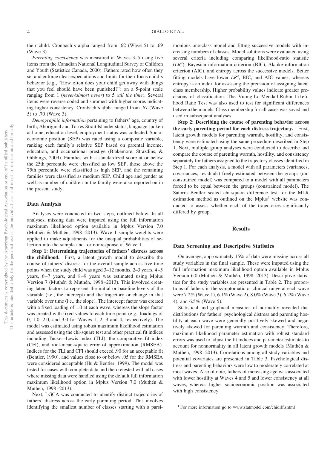their child. Cronbach's alpha ranged from .62 (Wave 5) to .69 (Wave 3).

*Parenting consistency* was measured at Waves 3–5 using five items from the Canadian National Longitudinal Survey of Children and Youth (Statistics Canada, 2000). Fathers rated how often they set and enforce clear expectations and limits for their focus child's behavior (e.g., "How often does your child get away with things that you feel should have been punished?") on a 5-point scale ranging from 1 (*never/almost never*) to 5 (*all the time*). Several items were reverse coded and summed with higher scores indicating higher consistency. Cronbach's alpha ranged from .67 (Wave 5) to .70 (Wave 3).

*Demographic information* pertaining to fathers' age, country of birth, Aboriginal and Torres Strait Islander status, language spoken at home, education level, employment status was collected. Socioeconomic position (SEP) was rated using a composite variable, ranking each family's relative SEP based on parental income, education, and occupational prestige (Blakemore, Strazdins, & Gibbings, 2009). Families with a standardized score at or below the 25th percentile were classified as low SEP, those above the 75th percentile were classified as high SEP, and the remaining families were classified as medium SEP. Child age and gender as well as number of children in the family were also reported on in the present study.

#### **Data Analysis**

Analyses were conducted in two steps, outlined below. In all analyses, missing data were imputed using the full information maximum likelihood option available in Mplus Version 7.0 (Muthén & Muthén, 1998 –2013). Wave 1 sample weights were applied to make adjustments for the unequal probabilities of selection into the sample and for nonresponse at Wave 1.

**Step 1: Determining trajectories of fathers' distress across the childhood.** First, a latent growth model to describe the course of fathers' distress for the overall sample across five time points when the study child was aged 3–12 months, 2–3 years, 4 –5 years, 6 –7 years, and 8 –9 years was estimated using Mplus Version 7 (Muthén & Muthén, 1998 –2013). This involved creating latent factors to represent the initial or baseline levels of the variable (i.e., the intercept) and the trajectory or change in that variable over time (i.e., the slope). The intercept factor was created with a fixed loading of 1.0 at each wave, whereas the slope factor was created with fixed values to each time point (e.g., loadings of 0, 1.0, 2.0, and 3.0 for Waves 1, 2, 3 and 4, respectively). The model was estimated using robust maximum likelihood estimation and assessed using the chi-square test and other practical fit indices including Tucker–Lewis index (TLI), the comparative fit index (CFI), and root-mean-square error of approximation (RMSEA). Indices for the TLI and CFI should exceed .90 for an acceptable fit (Bentler, 1990), and values close to or below .05 for the RMSEA were considered acceptable (Hu & Bentler, 1999). The model was tested for cases with complete data and then retested with all cases where missing data were handled using the default full information maximum likelihood option in Mplus Version 7.0 (Muthén & Muthén, 1998 –2013).

Next, LGCA was conducted to identify distinct trajectories of fathers' distress across the early parenting period. This involves identifying the smallest number of classes starting with a parsimonious one-class model and fitting successive models with increasing numbers of classes. Model solutions were evaluated using several criteria including comparing likelihood-ratio statistic (*LR*<sup>2</sup> ), Bayesian information criterion (BIC), Akaike information criterion (AIC), and entropy across the successive models. Better fitting models have lower  $LR^2$ , BIC, and AIC values, whereas entropy is an index for assessing the precision of assigning latent class membership. Higher probability values indicate greater precisions of classification. The Vuong-Lo-Mendall-Rubin Likelihood Ratio Test was also used to test for significant differences between the models. Class membership for all cases was saved and used in subsequent analyses.

**Step 2: Describing the course of parenting behavior across the early parenting period for each distress trajectory.** First, latent growth models for parenting warmth, hostility, and consistency were estimated using the same procedure described in Step 1. Next, multiple group analyses were conducted to describe and compare the course of parenting warmth, hostility, and consistency separately for fathers assigned to the trajectory classes identified in Step 1. For each analysis, a model with all parameters (variances, covariances, residuals) freely estimated between the groups (unconstrained model) was compared to a model with all parameters forced to be equal between the groups (constrained model). The Satorra–Bentler scaled chi-square difference test for the MLR estimation method as outlined on the  $Mplus<sup>1</sup>$  website was conducted to assess whether each of the trajectories significantly differed by group.

#### **Results**

#### **Data Screening and Descriptive Statistics**

On average, approximately 15% of data were missing across all study variables in the final sample. These were imputed using the full information maximum likelihood option available in Mplus Version 6.0 (Muthén & Muthén, 1998 –2013). Descriptive statistics for the study variables are presented in Table 2. The proportions of fathers in the symptomatic or clinical range at each wave were 7.2% (Wave 1), 6.1% (Wave 2), 8.0% (Wave 3), 6.2% (Wave 4), and 6.5% (Wave 5).

Statistical and graphical measures of normality revealed that distributions for fathers' psychological distress and parenting hostility at each wave were generally positively skewed and negatively skewed for parenting warmth and consistency. Therefore, maximum likelihood parameter estimation with robust standard errors was used to adjust the fit indices and parameter estimates to account for nonnormality in all latent growth models (Muthén & Muthén, 1998 –2013). Correlations among all study variables and potential covariates are presented in Table 3. Psychological distress and parenting behaviors were low to moderately correlated at most waves. Also of note, fathers of increasing age was associated with lower hostility at Waves 4 and 5 and lower consistency at all waves, whereas higher socioeconomic position was associated with high consistency.

<sup>&</sup>lt;sup>1</sup> For more information go to www.statmodel.com/chidiff.shtml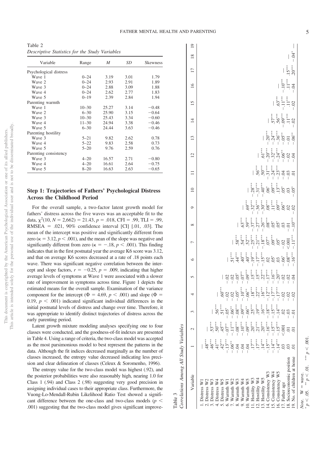Table 3

*Correlations Among All Study Variables*

Correlations Among All Study Variables

Table 2 *Descriptive Statistics for the Study Variables*

| Variable               | Range     | M     | SD   | <b>Skewness</b> |
|------------------------|-----------|-------|------|-----------------|
| Psychological distress |           |       |      |                 |
| Wave 1                 | $0 - 24$  | 3.19  | 3.01 | 1.79            |
| Wave 2                 | $0 - 24$  | 2.93  | 2.91 | 1.89            |
| Wave 3                 | $0 - 24$  | 2.88  | 3.09 | 1.88            |
| Wave 4                 | $0 - 24$  | 2.62  | 2.77 | 1.83            |
| Wave 5                 | $0 - 19$  | 2.39  | 2.84 | 1.94            |
| Parenting warmth       |           |       |      |                 |
| Wave 1                 | $10 - 30$ | 25.27 | 3.14 | $-0.48$         |
| Wave 2                 | $6 - 30$  | 25.90 | 3.15 | $-0.64$         |
| Wave 3                 | $10 - 30$ | 25.43 | 3.34 | $-0.60$         |
| Wave 4                 | $11 - 30$ | 24.94 | 3.38 | $-0.46$         |
| Wave 5                 | $6 - 30$  | 24.44 | 3.63 | $-0.46$         |
| Parenting hostility    |           |       |      |                 |
| Wave 3                 | $5 - 21$  | 9.82  | 2.62 | 0.78            |
| Wave 4                 | $5 - 22$  | 9.83  | 2.58 | 0.73            |
| Wave 5                 | $5 - 20$  | 9.76  | 2.59 | 0.76            |
| Parenting consistency  |           |       |      |                 |
| Wave 3                 | $4 - 20$  | 16.57 | 2.71 | $-0.80$         |
| Wave 4                 | $4 - 20$  | 16.61 | 2.64 | $-0.75$         |
| Wave 5                 | $8 - 20$  | 16.63 | 2.63 | $-0.65$         |

#### **Step 1: Trajectories of Fathers' Psychological Distress Across the Childhood Period**

For the overall sample, a two-factor latent growth model for fathers' distress across the five waves was an acceptable fit to the data,  $\chi^2(10, N = 2,662) = 21.43, p = .018, CFI = .99, TLI = .99,$ RMSEA =  $.021$ , 90% confidence interval [CI] [.01, .03]. The mean of the intercept was positive and significantly different from zero ( $\kappa = 3.12$ ,  $p < .001$ ), and the mean of the slope was negative and significantly different from zero ( $\kappa = -.18, p < .001$ ). This finding indicates that in the first postnatal year the average K6 score was 3.12, and that on average K6 scores decreased at a rate of .18 points each wave. There was significant negative correlation between the intercept and slope factors,  $r = -0.25$ ,  $p = .009$ , indicating that higher average levels of symptoms at Wave 1 were associated with a slower rate of improvement in symptoms across time. Figure 1 depicts the estimated means for the overall sample. Examination of the variance component for the intercept ( $\Phi = 4.69$ ,  $p < .001$ ) and slope ( $\Phi =$ 0.19,  $p < .001$ ) indicated significant individual differences in the initial postnatal levels of distress and change over time. Therefore, it was appropriate to identify distinct trajectories of distress across the early parenting period.

Latent growth mixture modeling analyses specifying one to four classes were conducted, and the goodness-of-fit indexes are presented in Table 4. Using a range of criteria, the two-class model was accepted as the most parsimonious model to best represent the patterns in the data. Although the fit indices decreased marginally as the number of classes increased, the entropy value decreased indicating less precision and clear delineation of classes (Celeux & Soromenho, 1996).

The entropy value for the two-class model was highest (.92), and the posterior probabilities were also reasonably high, nearing 1.0 for Class 1 (.94) and Class 2 (.98) suggesting very good precision in assigning individual cases to their appropriate class. Furthermore, the Vuong-Lo-Mendall-Rubin Likelihood Ratio Test showed a significant difference between the one-class and two-class models ( $p <$ .001) suggesting that the two-class model gives significant improve-

| Variable                                                                                                                                                                                                                                                                                                                                                                                                             |                | 2                                                                                                                                                                                                                                                                                                                                                                                                           | 3                                                                                                                                                                                                                                                                                                                   | 4                                                                                                                                                                                                                                                                                                                                                                                                       | $\sqrt{ }$                                                                                                                                                                                                                                                                                                                                                                                                               | $\circ$                                                                                                                                                                                                                                                                                                                      | $\overline{a}$                                                                                                                                                                                                                                                                                                                                                                                                                         | $\infty$                                                                                                                                                                                                                                                                                                                                                                                                                                                                                                                                                                                                                                                                                             | $\circ$                                                                                                                                                                                                                                                                                                             | $\approx$                                                                                                                                                                                                                        | $\equiv$                                                                                                                                                                                                                                                                                                                                                                                                                                                           | $\overline{c}$                                                                                                                                                                                                                                                                                                                                                                                          | $\frac{13}{2}$ | $\overline{1}$                                                                                                                                                                          | $\frac{5}{2}$                        | $\frac{6}{1}$                                                        | $\overline{17}$ | $^{19}$<br>$\frac{8}{18}$ |  |
|----------------------------------------------------------------------------------------------------------------------------------------------------------------------------------------------------------------------------------------------------------------------------------------------------------------------------------------------------------------------------------------------------------------------|----------------|-------------------------------------------------------------------------------------------------------------------------------------------------------------------------------------------------------------------------------------------------------------------------------------------------------------------------------------------------------------------------------------------------------------|---------------------------------------------------------------------------------------------------------------------------------------------------------------------------------------------------------------------------------------------------------------------------------------------------------------------|---------------------------------------------------------------------------------------------------------------------------------------------------------------------------------------------------------------------------------------------------------------------------------------------------------------------------------------------------------------------------------------------------------|--------------------------------------------------------------------------------------------------------------------------------------------------------------------------------------------------------------------------------------------------------------------------------------------------------------------------------------------------------------------------------------------------------------------------|------------------------------------------------------------------------------------------------------------------------------------------------------------------------------------------------------------------------------------------------------------------------------------------------------------------------------|----------------------------------------------------------------------------------------------------------------------------------------------------------------------------------------------------------------------------------------------------------------------------------------------------------------------------------------------------------------------------------------------------------------------------------------|------------------------------------------------------------------------------------------------------------------------------------------------------------------------------------------------------------------------------------------------------------------------------------------------------------------------------------------------------------------------------------------------------------------------------------------------------------------------------------------------------------------------------------------------------------------------------------------------------------------------------------------------------------------------------------------------------|---------------------------------------------------------------------------------------------------------------------------------------------------------------------------------------------------------------------------------------------------------------------------------------------------------------------|----------------------------------------------------------------------------------------------------------------------------------------------------------------------------------------------------------------------------------|--------------------------------------------------------------------------------------------------------------------------------------------------------------------------------------------------------------------------------------------------------------------------------------------------------------------------------------------------------------------------------------------------------------------------------------------------------------------|---------------------------------------------------------------------------------------------------------------------------------------------------------------------------------------------------------------------------------------------------------------------------------------------------------------------------------------------------------------------------------------------------------|----------------|-----------------------------------------------------------------------------------------------------------------------------------------------------------------------------------------|--------------------------------------|----------------------------------------------------------------------|-----------------|---------------------------|--|
| 19. No. of children at home<br>8. Socioeconomic position<br>4. Consistency $W3$<br>16. Consistency W5<br>15. Consistency W4<br>$W = wave$ .<br>2. Hostility W4<br>.3. Hostility W5<br>1. Hostility W3<br>0. Warmth W5<br>Warmth W2<br>2. Distress W2<br>Warmth W3<br>9. Warmth $W4$<br>3. Distress W3<br>Distress W4<br>Distress W5<br>Warmth W1<br>. Distress W1<br>17. Father age<br>Note.<br>$\tilde{\circ}$<br>Ġ | $\overline{0}$ | $\begin{array}{cccccc} .53^{***} & .50^{***} & .50^{***} & .50^{***} & .50^{***} & .50^{***} & .50^{***} & .50^{***} & .50^{***} & .50^{***} & .50^{***} & .50^{***} & .50^{***} & .50^{***} & .50^{***} & .50^{***} & .50^{***} & .50^{***} & .50^{***} & .50^{***} & .50^{***} & .50^{***} & .50^{***} & .50^{***} & .50^{***} & .50^{***} & .50^{***} & .50^{***} & .50^{***} & .50^{***} & .5$<br>: 001 | $\frac{1}{5}$ $\frac{1}{5}$ $\frac{1}{5}$ $\frac{1}{5}$ $\frac{1}{5}$ $\frac{1}{5}$ $\frac{1}{5}$ $\frac{1}{5}$ $\frac{1}{5}$ $\frac{1}{5}$ $\frac{1}{5}$ $\frac{1}{5}$ $\frac{1}{5}$ $\frac{1}{5}$ $\frac{1}{5}$ $\frac{1}{5}$ $\frac{1}{5}$ $\frac{1}{5}$ $\frac{1}{5}$ $\frac{1}{5}$ $\frac{1}{5}$ $\frac{1}{5}$ | $\begin{array}{r} \n\frac{1}{6} & \frac{1}{6} & \frac{1}{6} & \frac{1}{6} & \frac{1}{6} & \frac{1}{6} & \frac{1}{6} & \frac{1}{6} & \frac{1}{6} & \frac{1}{6} & \frac{1}{6} & \frac{1}{6} & \frac{1}{6} & \frac{1}{6} & \frac{1}{6} & \frac{1}{6} & \frac{1}{6} & \frac{1}{6} & \frac{1}{6} & \frac{1}{6} & \frac{1}{6} & \frac{1}{6} & \frac{1}{6} & \frac{1}{6} & \frac{1}{6} & \frac{1}{6} & \frac{$ | $\begin{array}{c}   \; {\bf e} \; {\bf e} \; {\bf e} \; {\bf e} \; {\bf e} \; {\bf e} \; {\bf e} \; {\bf e} \; {\bf e} \; {\bf e} \; {\bf e} \; {\bf e} \; {\bf e} \; {\bf e} \; {\bf e} \; {\bf e} \; {\bf e} \; {\bf e} \; {\bf e} \; {\bf e} \; {\bf e} \; {\bf e} \; {\bf e} \; {\bf e} \; {\bf e} \; {\bf e} \; {\bf e} \; {\bf e} \; {\bf e} \; {\bf e} \; {\bf e} \; {\bf e} \; {\bf e} \; {\bf e} \; {\bf e} \;$ | $\frac{1}{11}$ , $\frac{1}{4}$ , $\frac{4}{4}$ , $\frac{4}{9}$ , $\frac{1}{11}$ , $\frac{1}{11}$ , $\frac{1}{11}$ , $\frac{1}{11}$ , $\frac{1}{11}$ , $\frac{1}{11}$ , $\frac{1}{11}$ , $\frac{1}{11}$ , $\frac{1}{11}$ , $\frac{1}{11}$ , $\frac{1}{11}$ , $\frac{1}{11}$ , $\frac{1}{11}$ , $\frac{1}{11}$ , $\frac{1}{11$ | $\begin{array}{l} \overline{56} \\ 58\overline{) }\\ 34\overline{) }\\ -12\overline{) }\\ -12\overline{) }\\ -18\overline{) }\\ -12\overline{) }\\ -12\overline{) }\\ -12\overline{) }\\ -12\overline{) }\\ -12\overline{) }\\ -12\overline{) }\\ -12\overline{) }\\ -12\overline{) }\\ -12\overline{) }\\ -11\overline{) }\\ -11\overline{) }\\ -11\overline{) }\\ -11\overline{) }\\ -11\overline{) }\\ -11\overline{) }\\ -11\over$ | $\frac{1}{3} \overbrace{3}^{\bullet\bullet\bullet}_{\bullet\bullet\bullet\bullet\bullet\bullet\bullet\bullet} \overbrace{3}^{\bullet\bullet\bullet\bullet\bullet}_{\bullet\bullet\bullet\bullet\bullet\bullet\bullet\bullet} \overbrace{3}^{\bullet\bullet\bullet\bullet\bullet\bullet}_{\bullet\bullet\bullet\bullet\bullet\bullet\bullet} \overbrace{3}^{\bullet\bullet\bullet\bullet\bullet\bullet}_{\bullet\bullet\bullet\bullet\bullet\bullet} \overbrace{3}^{\bullet\bullet\bullet\bullet\bullet\bullet\bullet}_{\bullet\bullet\bullet\bullet\bullet} \overbrace{3}^{\bullet\bullet\bullet\bullet\bullet\bullet\bullet}_{\bullet\bullet\bullet\bullet\bullet} \overbrace{10}^{\bullet\bullet\$ | $\frac{1}{9}$ $\frac{1}{9}$ $\frac{1}{9}$ $\frac{1}{9}$ $\frac{1}{9}$ $\frac{1}{9}$ $\frac{1}{9}$ $\frac{1}{9}$ $\frac{1}{9}$ $\frac{1}{9}$ $\frac{1}{9}$ $\frac{1}{9}$ $\frac{1}{9}$ $\frac{1}{9}$ $\frac{1}{9}$ $\frac{1}{9}$ $\frac{1}{9}$ $\frac{1}{9}$ $\frac{1}{9}$ $\frac{1}{9}$ $\frac{1}{9}$ $\frac{1}{9}$ | <br>  8    11    10    10    10    10    10    10    10    10    10    10    10    10    10    10    10    10    1<br>  10    10    10    10    10    10    10    10    10    10    10    10    10    10    10    10    10    10 | $\begin{array}{r} \begin{array}{r} \vdots \\ \mathbf{v}_{3} \\ \mathbf{v}_{2} \\ \mathbf{v}_{3} \\ \mathbf{v}_{4} \\ \mathbf{v}_{5} \\ \mathbf{v}_{6} \\ \mathbf{v}_{7} \\ \mathbf{v}_{8} \\ \mathbf{v}_{9} \\ \mathbf{v}_{9} \\ \mathbf{v}_{9} \\ \mathbf{v}_{9} \\ \mathbf{v}_{9} \\ \mathbf{v}_{9} \\ \mathbf{v}_{9} \\ \mathbf{v}_{9} \\ \mathbf{v}_{9} \\ \mathbf{v}_{9} \\ \mathbf{v}_{9} \\ \mathbf{v}_{9} \\ \mathbf{v}_{9} \\ \mathbf{v}_{9} \\ \mathbf{$ | $\begin{array}{c} \n\frac{1}{2} & \frac{1}{2} & \frac{1}{2} & \frac{1}{2} & \frac{1}{2} & \frac{1}{2} & \frac{1}{2} & \frac{1}{2} & \frac{1}{2} & \frac{1}{2} & \frac{1}{2} & \frac{1}{2} & \frac{1}{2} & \frac{1}{2} & \frac{1}{2} & \frac{1}{2} & \frac{1}{2} & \frac{1}{2} & \frac{1}{2} & \frac{1}{2} & \frac{1}{2} & \frac{1}{2} & \frac{1}{2} & \frac{1}{2} & \frac{1}{2} & \frac{1}{2} & \frac{$ |                | $\frac{1}{5}$<br>$\frac{5}{5}$<br>$\frac{1}{5}$<br>$\frac{1}{5}$<br>$\frac{1}{5}$<br>$\frac{1}{5}$<br>$\frac{1}{5}$<br>$\frac{1}{5}$<br>$\frac{1}{5}$<br>$\frac{1}{5}$<br>$\frac{1}{5}$ | $\frac{1}{63}$ = $\frac{1}{11}$ = 02 | $\frac{1}{10}$<br>$\frac{1}{11}$<br>$\frac{1}{11}$<br>$\frac{1}{11}$ | $\frac{15}{15}$ | $-64$                     |  |
|                                                                                                                                                                                                                                                                                                                                                                                                                      |                |                                                                                                                                                                                                                                                                                                                                                                                                             |                                                                                                                                                                                                                                                                                                                     |                                                                                                                                                                                                                                                                                                                                                                                                         |                                                                                                                                                                                                                                                                                                                                                                                                                          |                                                                                                                                                                                                                                                                                                                              |                                                                                                                                                                                                                                                                                                                                                                                                                                        |                                                                                                                                                                                                                                                                                                                                                                                                                                                                                                                                                                                                                                                                                                      |                                                                                                                                                                                                                                                                                                                     |                                                                                                                                                                                                                                  |                                                                                                                                                                                                                                                                                                                                                                                                                                                                    |                                                                                                                                                                                                                                                                                                                                                                                                         |                |                                                                                                                                                                                         |                                      |                                                                      |                 |                           |  |

 $\frac{d}{p}$  $\vee$  $\frac{N}{N}$  *p* - $\frac{1}{\sqrt{2}}$ . *p* -

 $\leqslant$  .001.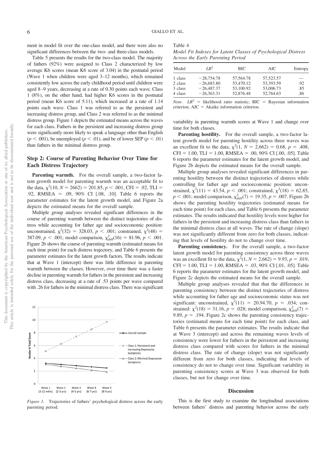ment in model fit over the one-class model, and there were also no significant differences between the two- and three-class models.

Table 5 presents the results for the two-class model. The majority of fathers (92%) were assigned to Class 2 characterized by low average K6 scores (mean K6 score of 3.04) in the postnatal period (Wave 1 when children were aged 3–12 months), which remained consistently low across the early childhood period until children were aged 8 –9 years, decreasing at a rate of 0.30 points each wave. Class 1 (8%), on the other hand, had higher K6 scores in the postnatal period (mean K6 score of 5.11), which increased at a rate of 1.14 points each wave. Class 1 was referred to as the persistent and increasing distress group, and Class 2 was referred to as the minimal distress group. Figure 1 depicts the estimated means across the waves for each class. Fathers in the persistent and increasing distress group were significantly more likely to speak a language other than English  $(p < .001)$ , be unemployed  $(p < .01)$ , and be of lower SEP  $(p < .01)$ than fathers in the minimal distress group.

### **Step 2: Course of Parenting Behavior Over Time for Each Distress Trajectory**

**Parenting warmth.** For the overall sample, a two-factor latent growth model for parenting warmth was an acceptable fit to the data,  $\chi^2(10, N = 2662) = 201.85, p < .001$ , CFI = .92, TLI = .92, RMSEA = .09, 90% CI [.08, .10]. Table 6 reports the parameter estimates for the latent growth model, and Figure 2a depicts the estimated means for the overall sample.

Multiple group analyses revealed significant differences in the course of parenting warmth between the distinct trajectories of distress while accounting for father age and socioeconomic position: unconstrained,  $\chi^2(32) = 328.03$ ,  $p < .001$ ; constrained,  $\chi^2(48) =$ 387.09,  $p < .001$ ; model comparison,  $\chi^2_{\text{diff}}(16) = 81.96, p < .001$ . Figure 2b shows the course of parenting warmth (estimated means for each time point) for each distress trajectory, and Table 6 presents the parameter estimates for the latent growth factors. The results indicate that at Wave 1 (intercept) there was little difference in parenting warmth between the classes. However, over time there was a faster decline in parenting warmth for fathers in the persistent and increasing distress class, decreasing at a rate of .53 points per wave compared with .26 for fathers in the minimal distress class. There was significant



*Figure 1.* Trajectories of fathers' psychological distress across the early parenting period.

#### Table 4

*Model Fit Indexes for Latent Classes of Psychological Distress Across the Early Parenting Period*

| Model   | $LR^2$       | <b>BIC</b> | AIC         | Entropy |
|---------|--------------|------------|-------------|---------|
| 1 class | $-28,754,78$ | 57.564.78  | 57, 523, 57 |         |
| 2 class | $-26,683,80$ | 53,470.12  | 53.393.59   | .92     |
| 3 class | $-26,487,37$ | 53,100.92  | 53,006.73   | .85     |
| 4 class | $-26,363,31$ | 52,876.48  | 52,764.63   | .86     |

*Note.*  $LR^2$  = likelihood ratio statistic;  $BIC$  = Bayesian information criterion; AIC = Akaike information criterion.

variability in parenting warmth scores at Wave 1 and change over time for both classes.

**Parenting hostility.** For the overall sample, a two-factor latent growth model for parenting hostility across three waves was an excellent fit to the data,  $\chi^2(1, N = 2,662) = 0.68$ ,  $p = .408$ ,  $CFI = 1.00$ , TLI = 1.00, RMSEA = .00, 90% CI [.00, .05]. Table 6 reports the parameter estimates for the latent growth model, and Figure 2b depicts the estimated means for the overall sample.

Multiple group analyses revealed significant differences in parenting hostility between the distinct trajectories of distress while controlling for father age and socioeconomic position: unconstrained,  $\chi^2(11) = 43.54$ ,  $p < .001$ ; constrained,  $\chi^2(18) = 62.85$ ,  $p < .001$ ; model comparison,  $\chi^2_{\text{diff}}(7) = 19.35, p = .007$ . Figure 2b shows the parenting hostility trajectories (estimated means for each time point) for each class, and Table 6 presents the parameter estimates. The results indicated that hostility levels were higher for fathers in the persistent and increasing distress class than fathers in the minimal distress class at all waves. The rate of change (slope) was not significantly different from zero for both classes, indicating that levels of hostility do not to change over time.

**Parenting consistency.** For the overall sample, a two-factor latent growth model for parenting consistency across three waves was an excellent fit to the data,  $\chi^2(1, N = 2,662) = 9.93, p = .019,$  $CFI = 1.00$ , TLI = 1.00, RMSEA = .03, 90% CI [.01, .05]. Table 6 reports the parameter estimates for the latent growth model, and Figure 2c depicts the estimated means for the overall sample.

Multiple group analyses revealed that that the differences in parenting consistency between the distinct trajectories of distress while accounting for father age and socioeconomic status was not significant: unconstrained,  $\chi^2(11) = 20.94.70$ ,  $p = .034$ ; constrained:  $\chi^2(18) = 31.16$ ,  $p = .028$ ; model comparison,  $\chi^2_{\text{diff}}(7) =$ 9.89,  $p = .194$ . Figure 2c shows the parenting consistency trajectories (estimated means for each time point) for each class, and Table 6 presents the parameter estimates. The results indicate that at Wave 3 (intercept) and across the remaining waves levels of consistency were lower for fathers in the persistent and increasing distress class compared with scores for fathers in the minimal distress class. The rate of change (slope) was not significantly different from zero for both classes, indicating that levels of consistency do not to change over time. Significant variability in parenting consistency scores at Wave 3 was observed for both classes, but not for change over time.

#### **Discussion**

This is the first study to examine the longitudinal associations between fathers' distress and parenting behavior across the early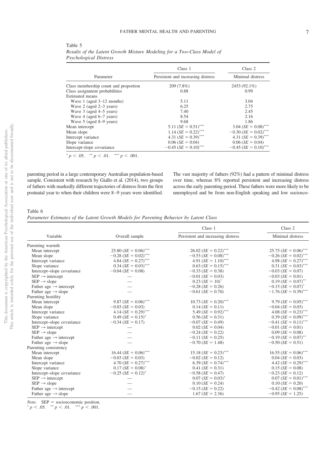|                                       | Class 1                                   | Class <sub>2</sub>                          |
|---------------------------------------|-------------------------------------------|---------------------------------------------|
| Parameter                             | Persistent and increasing distress        | Minimal distress                            |
| Class membership count and proportion | 209 (7.8%)                                | 2453 (92.1%)                                |
| Class assignment probabilities        | 0.88                                      | 0.99                                        |
| Estimated means                       |                                           |                                             |
| Wave 1 (aged $3-12$ months)           | 5.11                                      | 3.04                                        |
| Wave $2$ (aged $2-3$ years)           | 6.25                                      | 2.75                                        |
| Wave 3 (aged 4–5 years)               | 7.40                                      | 2.45                                        |
| Wave 4 (aged 6–7 years)               | 8.54                                      | 2.16                                        |
| Wave 5 (aged 8–9 years)               | 9.68                                      | 1.86                                        |
| Mean intercept                        | $5.11 (SE = 0.51)^{***}$                  | $3.04$ ( <i>SE</i> = 0.08) <sup>***</sup>   |
| Mean slope                            | $1.14$ ( <i>SE</i> = 0.22) <sup>***</sup> | $-0.30$ ( <i>SE</i> = 0.02) <sup>****</sup> |
| Intercept variance                    | 4.31 $(SE = 0.39)^{***}$                  | 4.31 $(SE = 0.39)^{***}$                    |
| Slope variance                        | $0.06$ ( <i>SE</i> = 0.04)                | $0.06$ ( <i>SE</i> = 0.04)                  |
| Intercept-slope covariance            | $-0.45$ (SE = 0.10) <sup>***</sup>        | $-0.45$ (SE = 0.10) <sup>***</sup>          |

Table 5 *Results of the Latent Growth Mixture Modeling for a Two-Class Model of Psychological Distress*

parenting period in a large contemporary Australian population-based sample. Consistent with research by Giallo et al. (2014), two groups of fathers with markedly different trajectories of distress from the first postnatal year to when their children were 8 –9 years were identified.

The vast majority of fathers (92%) had a pattern of minimal distress over time, whereas 8% reported persistent and increasing distress across the early parenting period. These fathers were more likely to be unemployed and be from non-English speaking and low socioeco-

Table 6 *Parameter Estimates of the Latent Growth Models for Parenting Behavior by Latent Class*

|                                    |                                             | Class 1                                     | Class 2                                     |
|------------------------------------|---------------------------------------------|---------------------------------------------|---------------------------------------------|
| Variable                           | Overall sample                              | Persistent and increasing distress          | Minimal distress                            |
| Parenting warmth                   |                                             |                                             |                                             |
| Mean intercept                     | $25.80$ ( <i>SE</i> = 0.06) <sup>***</sup>  | $26.02$ ( <i>SE</i> = 0.22) <sup>***</sup>  | $25.75$ ( <i>SE</i> = 0.06) <sup>****</sup> |
| Mean slope                         | $-0.28$ ( <i>SE</i> = 0.02) <sup>***</sup>  | $-0.53$ (SE = 0.08) <sup>***</sup>          | $-0.26$ ( <i>SE</i> = 0.02) <sup>***</sup>  |
| Intercept variance                 | 4.84 $(SE = 0.27)$ ***                      | 4.91 ( $SE = 1.10$ )***                     | 4.98 $(SE = 0.27)$ ***                      |
| Slope variance                     | $0.34$ ( <i>SE</i> = 0.03) <sup>***</sup>   | $0.63$ ( <i>SE</i> = 0.15) <sup>***</sup>   | $0.31(SE = 0.03)$ ***                       |
| Intercept-slope covariance         | $-0.04$ (SE = 0.08)                         | $-0.33$ ( <i>SE</i> = 0.38)                 | $-0.03$ (SE = 0.07)                         |
| $SEP \rightarrow$ intercept        |                                             | $-0.01$ ( <i>SE</i> = 0.03)                 | $-0.03$ (SE = 0.01)                         |
| $SEP \rightarrow slope$            |                                             | $0.23$ ( <i>SE</i> = 10) <sup>*</sup>       | $0.19$ ( <i>SE</i> = 0.07) <sup>**</sup>    |
| Father age $\rightarrow$ intercept |                                             | $-0.28$ ( <i>SE</i> = 0.26)                 | $-0.15$ ( <i>SE</i> = 0.07) <sup>*</sup>    |
| Father age $\rightarrow$ slope     |                                             | $-0.61$ ( <i>SE</i> = 0.70)                 | $-1.76$ ( <i>SE</i> = 0.39) <sup>***</sup>  |
| Parenting hostility                |                                             |                                             |                                             |
| Mean intercept                     | 9.87 $(SE = 0.06)^{***}$                    | $10.73$ ( <i>SE</i> = 0.20) <sup>****</sup> | $9.79$ (SE = 0.05) <sup>***</sup>           |
| Mean slope                         | $-0.03$ ( <i>SE</i> = 0.03)                 | $0.14$ ( <i>SE</i> = 0.11)                  | $-0.04$ ( <i>SE</i> = 0.03)                 |
| Intercept variance                 | 4.14 $(SE = 0.29)$ ***                      | 5.49 $(SE = 0.92)^{***}$                    | 4.08 ( $SE = 0.23$ )***                     |
| Slope variance                     | $0.49$ (SE = $0.15$ ) <sup>*</sup>          | $0.56$ ( <i>SE</i> = 0.31)                  | $0.39$ ( <i>SE</i> = $0.09$ )***            |
| Intercept-slope covariance         | $-0.34$ ( <i>SE</i> = 0.17)                 | $-0.07$ ( <i>SE</i> = 0.49)                 | $-0.41$ ( <i>SE</i> = 0.11) <sup>***</sup>  |
| $SEP \rightarrow$ intercept        |                                             | $0.02$ ( <i>SE</i> = 0.04)                  | $-0.01$ ( <i>SE</i> = 0.01)                 |
| $SEP \rightarrow slope$            |                                             | $-0.24$ ( <i>SE</i> = 0.22)                 | $0.09$ ( <i>SE</i> = 0.08)                  |
| Father age $\rightarrow$ intercept |                                             | $-0.11$ ( <i>SE</i> = 0.25)                 | $-0.19$ (SE = 0.07) <sup>**</sup>           |
| Father age $\rightarrow$ slope     |                                             | $-0.70$ ( <i>SE</i> = 1.48)                 | $-0.50$ ( <i>SE</i> = 0.51)                 |
| Parenting consistency              |                                             |                                             |                                             |
| Mean intercept                     | $16.44$ ( <i>SE</i> = 0.06) <sup>****</sup> | $15.18$ $(SE = 0.23)^{***}$                 | $16.55$ ( <i>SE</i> = 0.06) <sup>****</sup> |
| Mean slope                         | $-0.03$ ( <i>SE</i> = 0.03)                 | $-0.02$ ( <i>SE</i> = 0.12)                 | $0.04$ ( <i>SE</i> = 0.03)                  |
| Intercept variance                 | $4.70$ ( <i>SE</i> = 0.27) <sup>***</sup>   | 6.39 ( $SE = 0.74$ ) <sup>***</sup>         | 4.42 $(SE = 0.29)$ ***                      |
| Slope variance                     | $0.17$ ( <i>SE</i> = 0.08) <sup>*</sup>     | $0.41$ ( <i>SE</i> = 0.31)                  | $0.15$ ( <i>SE</i> = 0.08)                  |
| Intercept-slope covariance         | $-0.25$ (SE = 0.12) <sup>*</sup>            | $-0.58$ ( <i>SE</i> = 0.47)                 | $-0.23$ ( <i>SE</i> = 0.12)                 |
| $SEP \rightarrow$ intercept        |                                             | $0.07$ (SE = 0.03) <sup>*</sup>             | $0.07(SE = 0.01)$ ***                       |
| $SEP \rightarrow slope$            |                                             | $0.10$ ( <i>SE</i> = 0.24)                  | $0.10$ ( <i>SE</i> = 0.20)                  |
| Father age $\rightarrow$ intercept |                                             | $-0.15$ ( <i>SE</i> = 0.22)                 | $-0.42$ ( <i>SE</i> = 0.08) <sup>***</sup>  |
| Father age $\rightarrow$ slope     |                                             | $1.67$ (SE = 2.36)                          | $-0.95$ ( <i>SE</i> = 1.25)                 |

*Note.* SEP = socioeconomic position.<br>  ${}^{*}p < .05.$   ${}^{**}p < .01.$   ${}^{***}p < .001.$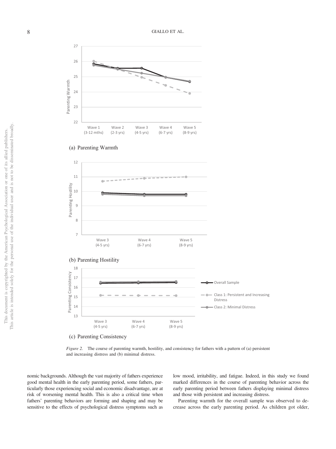

*Figure 2.* The course of parenting warmth, hostility, and consistency for fathers with a pattern of (a) persistent and increasing distress and (b) minimal distress.

nomic backgrounds. Although the vast majority of fathers experience good mental health in the early parenting period, some fathers, particularly those experiencing social and economic disadvantage, are at risk of worsening mental health. This is also a critical time when fathers' parenting behaviors are forming and shaping and may be sensitive to the effects of psychological distress symptoms such as

low mood, irritability, and fatigue. Indeed, in this study we found marked differences in the course of parenting behavior across the early parenting period between fathers displaying minimal distress and those with persistent and increasing distress.

Parenting warmth for the overall sample was observed to decrease across the early parenting period. As children got older,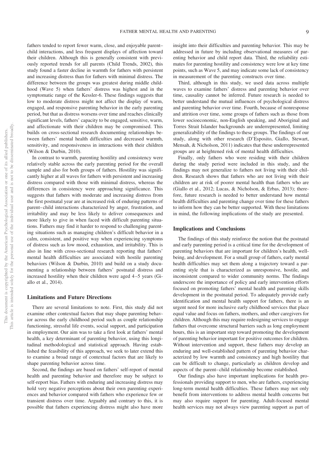fathers tended to report fewer warm, close, and enjoyable parent– child interactions, and less frequent displays of affection toward their children. Although this is generally consistent with previously reported trends for all parents (Child Trends, 2002), this study found a faster decline in warmth for fathers with persistent and increasing distress than for fathers with minimal distress. The difference between the groups was greatest during middle childhood (Wave 5) when fathers' distress was highest and in the symptomatic range of the Kessler-6. These findings suggests that low to moderate distress might not affect the display of warm, engaged, and responsive parenting behavior in the early parenting period, but that as distress worsens over time and reaches clinically significant levels, fathers' capacity to be engaged, sensitive, warm, and affectionate with their children may be compromised. This builds on cross-sectional research documenting relationships between fathers' mental health difficulties and decreased warmth, sensitivity, and responsiveness in interactions with their children (Wilson & Durbin, 2010).

In contrast to warmth, parenting hostility and consistency were relatively stable across the early parenting period for the overall sample and also for both groups of fathers. Hostility was significantly higher at all waves for fathers with persistent and increasing distress compared with those with minimal distress, whereas the differences in consistency were approaching significance. This suggests that fathers with moderate and increasing distress from the first postnatal year are at increased risk of enduring patterns of parent– child interactions characterized by anger, frustration, and irritability and may be less likely to deliver consequences and more likely to give in when faced with difficult parenting situations. Fathers may find it harder to respond to challenging parenting situations such as managing children's difficult behavior in a calm, consistent, and positive way when experiencing symptoms of distress such as low mood, exhaustion, and irritability. This is also in line with cross-sectional research reporting that fathers' mental health difficulties are associated with hostile parenting behaviors (Wilson & Durbin, 2010) and build on a study documenting a relationship between fathers' postnatal distress and increased hostility when their children were aged 4 –5 years (Giallo et al., 2014).

#### **Limitations and Future Directions**

There are several limitations to note. First, this study did not examine other contextual factors that may shape parenting behavior across the early childhood period such as couple relationship functioning, stressful life events, social support, and participation in employment. Our aim was to take a first look at fathers' mental health, a key determinant of parenting behavior, using this longitudinal methodological and statistical approach. Having established the feasibility of this approach, we seek to later extend this to examine a broad range of contextual factors that are likely to shape parenting behavior across time.

Second, the findings are based on fathers' self-report of mental health and parenting behavior and therefore may be subject to self-report bias. Fathers with enduring and increasing distress may hold very negative perceptions about their own parenting experiences and behavior compared with fathers who experience few or transient distress over time. Arguably and contrary to this, it is possible that fathers experiencing distress might also have more

insight into their difficulties and parenting behavior. This may be addressed in future by including observational measures of parenting behavior and child report data. Third, the reliability estimates for parenting hostility and consistency were low at key time points, such as Wave 5, and may indicate some lack of consistency in measurement of the parenting constructs over time.

Third, although in this study, we used data across multiple waves to examine fathers' distress and parenting behavior over time, causality cannot be inferred. Future research is needed to better understand the mutual influences of psychological distress and parenting behavior over time. Fourth, because of nonresponse and attrition over time, some groups of fathers such as those from lower socioeconomic, non-English speaking, and Aboriginal and Torres Strait Islander backgrounds are underrepresented, limiting generalizability of the findings to these groups. The findings of our study, along with other research (D'Esposito, Giallo, Stewart, Mensah, & Nicholson, 2011) indicates that these underrepresented groups are at heightened risk of mental health difficulties.

Finally, only fathers who were residing with their children during the study period were included in this study, and the findings may not generalize to fathers not living with their children. Research shows that fathers who are not living with their children are at risk of poorer mental health than fathers who are (Giallo et al., 2012; Lucas, & Nicholson, & Erbas, 2013); therefore, future research is needed to better understand how mental health difficulties and parenting change over time for these fathers to inform how they can be better supported. With these limitations in mind, the following implications of the study are presented.

#### **Implications and Conclusions**

The findings of this study reinforce the notion that the postnatal and early parenting period is a critical time for the development of parenting behaviors that are important for children's health, wellbeing, and development. For a small group of fathers, early mental health difficulties may set them along a trajectory toward a parenting style that is characterized as unresponsive, hostile, and inconsistent compared to wider community norms. The findings underscore the importance of policy and early intervention efforts focused on promoting fathers' mental health and parenting skills development in the postnatal period. To adequately provide early identification and mental health support for fathers, there is an urgent need for more inclusive early childhood services that place equal value and focus on fathers, mothers, and other caregivers for children. Although this may require redesigning services to engage fathers that overcome structural barriers such as long employment hours, this is an important step toward promoting the development of parenting behavior important for positive outcomes for children. Without intervention and support, these fathers may develop an enduring and well-established pattern of parenting behavior characterized by low warmth and consistency and high hostility that can be difficult to change, particularly as children develop and aspects of the parent– child relationship become established.

Our findings also have important implications for health professionals providing support to men, who are fathers, experiencing long-term mental health difficulties. These fathers may not only benefit from interventions to address mental health concerns but may also require support for parenting. Adult-focused mental health services may not always view parenting support as part of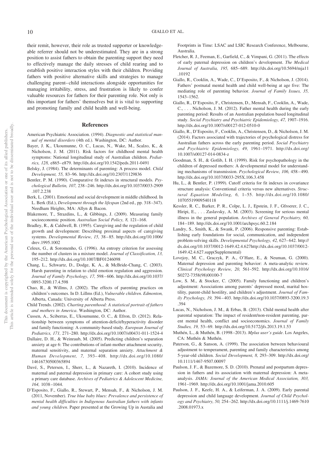their remit, however, their role as trusted supporter or knowledgeable referrer should not be underestimated. They are in a strong position to assist fathers to obtain the parenting support they need to effectively manage the daily stresses of child rearing and to establish positive interaction styles with their children. Providing fathers with positive alternative skills and strategies to manage challenging parent– child interactions alongside opportunities for managing irritability, stress, and frustration is likely to confer valuable resources for fathers for their parenting role. Not only is this important for fathers' themselves but it is vital to supporting and promoting family and child health and well-being.

#### **References**

- American Psychiatric Association. (1994). *Diagnostic and statistical manual of mental disorders* (4th ed.). Washington, DC: Author.
- Bayer, J. K., Ukoumunne, O. C., Lucas, N., Wake, M., Scalzo, K., & Nicholson, J. M. (2011). Risk factors for childhood mental health symptoms: National longitudinal study of Australian children. *Pediatrics, 128,* e865– e879. http://dx.doi.org/10.1542/peds.2011-0491
- Belsky, J. (1984). The determinants of parenting: A process model. *Child Development, 55,* 83–96. http://dx.doi.org/10.2307/1129836
- Bentler, P. M. (1990). Comparative fit indexes in structural models. *Psychological Bulletin, 107,* 238 –246. http://dx.doi.org/10.1037/0033-2909 .107.2.238
- Berk, L. (2001). Emotional and social development in middle childhood. In L. Berk (Ed.), *Development through the lifespan* (2nd ed., pp. 318 –347). Needham Heights, MA: Allyn & Bacon.
- Blakemore, T., Strazdins, L., & Gibbings, J. (2009). Measuring family socioeconomic position. *Australian Social Policy, 8,* 121–168.
- Bradley, R., & Caldwell, B. (1995). Caregiving and the regulation of child growth and development: Describing proximal aspects of caregiving systems. *Developmental Review, 15,* 38 – 85. http://dx.doi.org/10.1006/ drev.1995.1002
- Celeux, G., & Soromenho, G. (1996). An entropy criterion for assessing the number of clusters in a mixture model. *Journal of Classification, 13,* 195–212. http://dx.doi.org/10.1007/BF01246098
- Chang, L., Schwartz, D., Dodge, K. A., & McBride-Chang, C. (2003). Harsh parenting in relation to child emotion regulation and aggression. *Journal of Family Psychology, 17,* 598 – 606. http://dx.doi.org/10.1037/ 0893-3200.17.4.598
- Chao, R., & Willms, J. (2002). The effects of parenting practices on children's outcomes. In D. Lillms (Ed.), *Vulnerable children. Edmonton,* Alberta, Canada: University of Alberta Press.
- Child Trends. (2002). *Charting parenthood: A statistical portrait of fathers and mothers in America*. Washington, DC: Author.
- Cussen, A., Sciberras, E., Ukoumunne, O. C., & Efron, D. (2012). Relationship between symptoms of attention-deficit/hyperactivity disorder and family functioning: A community-based study. *European Journal of Pediatrics, 171,* 271–280. http://dx.doi.org/10.1007/s00431-011-1524-4
- Dallaire, D. H., & Weinraub, M. (2005). Predicting children's separation anxiety at age 6: The contributions of infant-mother attachment security, maternal sensitivity, and maternal separation anxiety. *Attachment & Human Development, 7,* 393– 408. http://dx.doi.org/10.1080/ 14616730500365894
- Davé, S., Petersen, I., Sherr, L., & Nazareth, I. (2010). Incidence of maternal and paternal depression in primary care: A cohort study using a primary care database. *Archives of Pediatrics & Adolescent Medicine, 164,* 1038 –1044.
- D'Esposito, F., Giallo, R., Stewart, P., Mensah, F., & Nicholson, J. M. (2011, November). *True blue baby blues: Prevalence and persistence of mental health difficulties in Indigenous Australian fathers with infants and young children*. Paper presented at the Growing Up in Austalia and

Footprints in Time: LSAC and LSIC Research Conference, Melbourne, Australia.

- Fletcher, R. J., Feeman, E., Garfield, C., & Vimpani, G. (2011). The effects of early paternal depression on children's development. *The Medical Journal of Australia, 195,* 685– 689. http://dx.doi.org/10.5694/mja11 .10192
- Giallo, R., Cooklin, A., Wade, C., D'Esposito, F., & Nicholson, J. (2014). Fathers' postnatal mental health and child well-being at age five: The mediating role of parenting behavior. *Journal of Family Issues, 35,* 1543–1562.
- Giallo, R., D'Esposito, F., Christensen, D., Mensah, F., Cooklin, A., Wade, C., . . . Nicholson, J. M. (2012). Father mental health during the early parenting period: Results of an Australian population based longitudinal study. *Social Psychiatry and Psychiatric Epidemiology, 47,* 1907–1916. http://dx.doi.org/10.1007/s00127-012-0510-0
- Giallo, R., D'Esposito, F., Cooklin, A., Christensen, D., & Nicholson, J. M. (2014). Factors associated with trajectories of psychological distress for Australian fathers across the early parenting period. *Social Psychiatry and Psychiatric Epidemiology, 49,* 1961–1971. http://dx.doi.org/ 10.1007/s00127-014-0834-z
- Goodman, S. H., & Gotlib, I. H. (1999). Risk for psychopathology in the children of depressed mothers: A developmental model for understanding mechanisms of transmission. *Psychological Review, 106,* 458 – 490. http://dx.doi.org/10.1037/0033-295X.106.3.458
- Hu, L., & Bentler, P. (1999). Cutoff criteria for fit indexes in covariance structure analysis: Conventional criteria versus new alternatives. *Structural Equation Modeling, 6,* 1–55. http://dx.doi.org/10.1080/ 10705519909540118
- Kessler, R. C., Barker, P. R., Colpe, L. J., Epstein, J. F., Gfroerer, J. C., Hiripi, E., . . . Zaslavsky, A. M. (2003). Screening for serious mental illness in the general population. *Archives of General Psychiatry, 60,* 184 –189. http://dx.doi.org/10.1001/archpsyc.60.2.184
- Landry, S., Smith, K., & Swank, P. (2006). Responsive parenting: Establishing early foundations for social, communication, and independent problem-solving skills. *Developmental Psychology, 42,* 627– 642. http:// dx.doi.org/10.1037/0012-1649.42.4.627http://dx.doi.org/10.1037/0012- 1649.42.4.627.supp(Supplemental)
- Lovejoy, M. C., Graczyk, P. A., O'Hare, E., & Neuman, G. (2000). Maternal depression and parenting behavior: A meta-analytic review. *Clinical Psychology Review, 20,* 561–592. http://dx.doi.org/10.1016/ S0272-7358(98)00100-7
- Low, S. M., & Stocker, C. (2005). Family functioning and children's adjustment: Associations among parents' depressed mood, marital hostility, parent-child hostility, and children's adjustment. *Journal of Family Psychology, 19,* 394 – 403. http://dx.doi.org/10.1037/0893-3200.19.3 .394
- Lucas, N., Nicholson, J. M., & Erbas, B. (2013). Child mental health after parental separation: The impact of resident/non-resident parenting, parent mental health, conflict and socioeconomics. *Journal of Family Studies, 19,* 53– 69. http://dx.doi.org/10.5172/jfs.2013.19.1.53
- Muthén, L., & Muthén, B. (1998 –2013). *Mplus user's guide*. Los Angeles, CA: Muthén & Muthén.
- Paterson, G., & Sanson, A. (1999). The association between behavioural adjustment to temperament, parenting and family characteristics among 5-year-old children. *Social Development, 8,* 293–309. http://dx.doi.org/ 10.1111/1467-9507.00097
- Paulson, J. F., & Bazemore, S. D. (2010). Prenatal and postpartum depression in fathers and its association with maternal depression: A metaanalysis. *JAMA: Journal of the American Medical Association, 303,* 1961–1969. http://dx.doi.org/10.1001/jama.2010.605
- Paulson, J. F., Keefe, H. A., & Leiferman, J. A. (2009). Early parental depression and child language development. *Journal of Child Psychology and Psychiatry, 50,* 254 –262. http://dx.doi.org/10.1111/j.1469-7610 .2008.01973.x